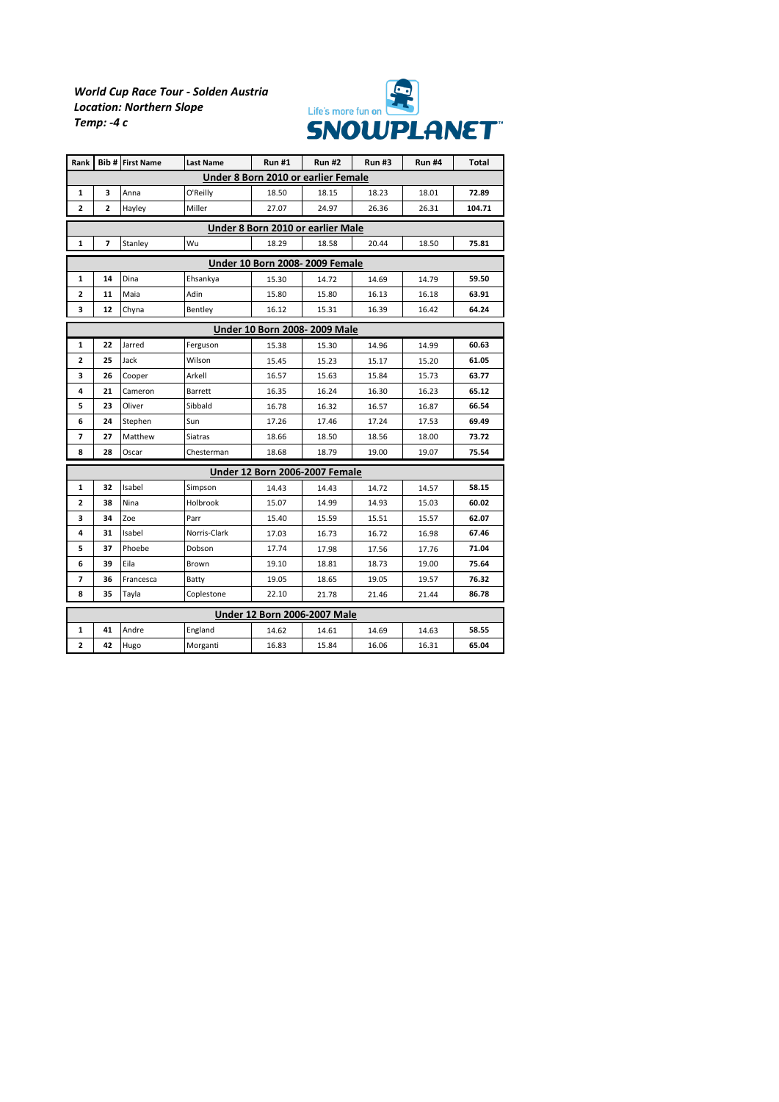## *World Cup Race Tour - Solden Austria Location: Northern Slope Temp: -4 c*



| Rank                                  |    | <b>Bib # First Name</b> | <b>Last Name</b> | <b>Run#1</b> | <b>Run#2</b> | <b>Run#3</b> | <b>Run #4</b> | Total  |  |  |  |  |  |
|---------------------------------------|----|-------------------------|------------------|--------------|--------------|--------------|---------------|--------|--|--|--|--|--|
| Under 8 Born 2010 or earlier Female   |    |                         |                  |              |              |              |               |        |  |  |  |  |  |
| 1                                     | 3  | Anna                    | O'Reilly         | 18.50        | 18.15        | 18.23        | 18.01         | 72.89  |  |  |  |  |  |
| $\overline{2}$                        | 2  | Hayley                  | Miller           | 27.07        | 24.97        | 26.36        | 26.31         | 104.71 |  |  |  |  |  |
| Under 8 Born 2010 or earlier Male     |    |                         |                  |              |              |              |               |        |  |  |  |  |  |
| 1                                     | 7  | Stanley                 | Wu               | 18.29        | 18.58        | 20.44        | 18.50         | 75.81  |  |  |  |  |  |
| <b>Under 10 Born 2008-2009 Female</b> |    |                         |                  |              |              |              |               |        |  |  |  |  |  |
| 1                                     | 14 | Dina                    | Ehsankya         | 15.30        | 14.72        | 14.69        | 14.79         | 59.50  |  |  |  |  |  |
| $\overline{2}$                        | 11 | Maia                    | Adin             | 15.80        | 15.80        | 16.13        | 16.18         | 63.91  |  |  |  |  |  |
| 3                                     | 12 | Chyna                   | Bentley          | 16.12        | 15.31        | 16.39        | 16.42         | 64.24  |  |  |  |  |  |
| <b>Under 10 Born 2008-2009 Male</b>   |    |                         |                  |              |              |              |               |        |  |  |  |  |  |
| $\mathbf{1}$                          | 22 | Jarred                  | Ferguson         | 15.38        | 15.30        | 14.96        | 14.99         | 60.63  |  |  |  |  |  |
| $\overline{2}$                        | 25 | Jack                    | Wilson           | 15.45        | 15.23        | 15.17        | 15.20         | 61.05  |  |  |  |  |  |
| 3                                     | 26 | Cooper                  | Arkell           | 16.57        | 15.63        | 15.84        | 15.73         | 63.77  |  |  |  |  |  |
| 4                                     | 21 | Cameron                 | Barrett          | 16.35        | 16.24        | 16.30        | 16.23         | 65.12  |  |  |  |  |  |
| 5                                     | 23 | Oliver                  | Sibbald          | 16.78        | 16.32        | 16.57        | 16.87         | 66.54  |  |  |  |  |  |
| 6                                     | 24 | Stephen                 | Sun              | 17.26        | 17.46        | 17.24        | 17.53         | 69.49  |  |  |  |  |  |
| 7                                     | 27 | Matthew                 | <b>Siatras</b>   | 18.66        | 18.50        | 18.56        | 18.00         | 73.72  |  |  |  |  |  |
| 8                                     | 28 | Oscar                   | Chesterman       | 18.68        | 18.79        | 19.00        | 19.07         | 75.54  |  |  |  |  |  |
| <b>Under 12 Born 2006-2007 Female</b> |    |                         |                  |              |              |              |               |        |  |  |  |  |  |
| $\mathbf{1}$                          | 32 | Isabel                  | Simpson          | 14.43        | 14.43        | 14.72        | 14.57         | 58.15  |  |  |  |  |  |
| 2                                     | 38 | Nina                    | Holbrook         | 15.07        | 14.99        | 14.93        | 15.03         | 60.02  |  |  |  |  |  |
| з                                     | 34 | Zoe                     | Parr             | 15.40        | 15.59        | 15.51        | 15.57         | 62.07  |  |  |  |  |  |
| 4                                     | 31 | Isabel                  | Norris-Clark     | 17.03        | 16.73        | 16.72        | 16.98         | 67.46  |  |  |  |  |  |
| 5                                     | 37 | Phoebe                  | Dobson           | 17.74        | 17.98        | 17.56        | 17.76         | 71.04  |  |  |  |  |  |
| 6                                     | 39 | Eila                    | Brown            | 19.10        | 18.81        | 18.73        | 19.00         | 75.64  |  |  |  |  |  |
| 7                                     | 36 | Francesca               | Batty            | 19.05        | 18.65        | 19.05        | 19.57         | 76.32  |  |  |  |  |  |
| 8                                     | 35 | Tayla                   | Coplestone       | 22.10        | 21.78        | 21.46        | 21.44         | 86.78  |  |  |  |  |  |
| <b>Under 12 Born 2006-2007 Male</b>   |    |                         |                  |              |              |              |               |        |  |  |  |  |  |
| 1                                     | 41 | Andre                   | England          | 14.62        | 14.61        | 14.69        | 14.63         | 58.55  |  |  |  |  |  |
| 2                                     | 42 | Hugo                    | Morganti         | 16.83        | 15.84        | 16.06        | 16.31         | 65.04  |  |  |  |  |  |